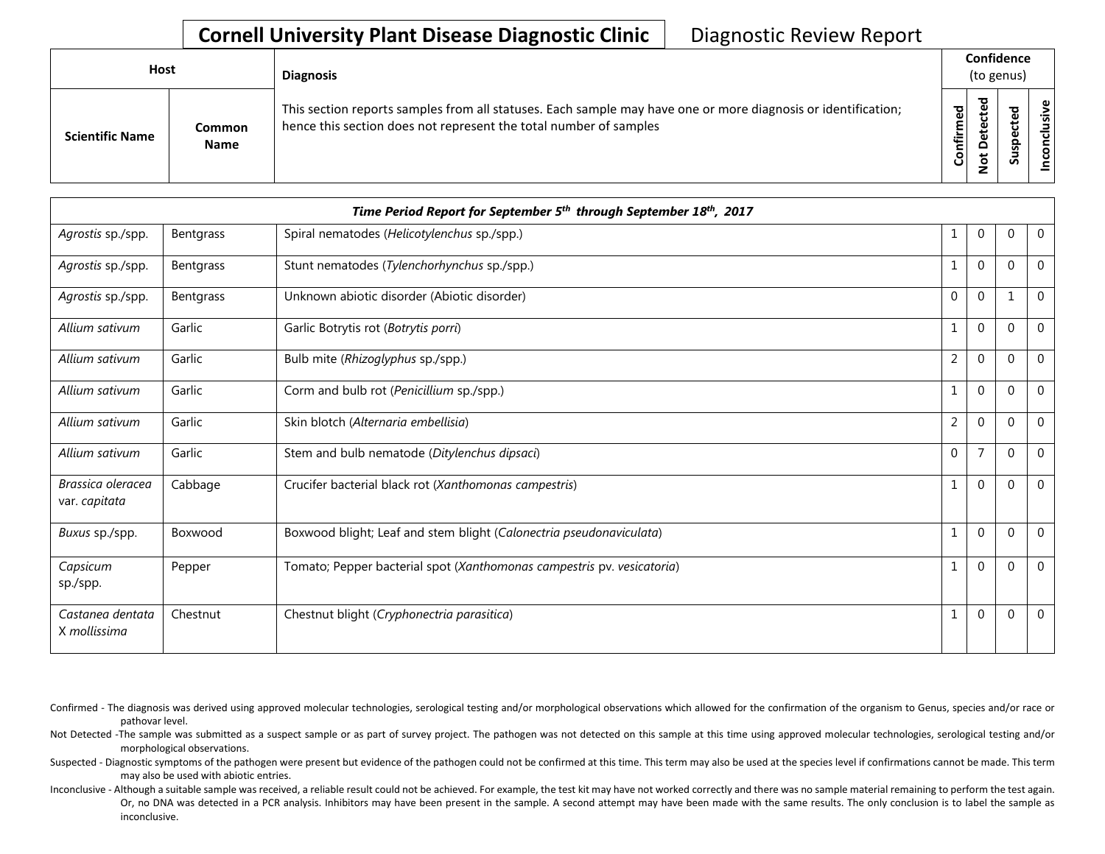| Host                   |                       | <b>Diagnosis</b>                                                                                                                                                                   |           | Confidence<br>(to genus) |   |                      |
|------------------------|-----------------------|------------------------------------------------------------------------------------------------------------------------------------------------------------------------------------|-----------|--------------------------|---|----------------------|
| <b>Scientific Name</b> | Common<br><b>Name</b> | This section reports samples from all statuses. Each sample may have one or more diagnosis or identification;<br>hence this section does not represent the total number of samples | Confirmed | ъ<br>۵<br>پ<br>ۊ         | ທ | ω<br>usiv<br>᠊ᠣ<br>ē |

|                                    |           | Time Period Report for September 5 <sup>th</sup> through September 18 <sup>th</sup> , 2017 |              |                |          |                |
|------------------------------------|-----------|--------------------------------------------------------------------------------------------|--------------|----------------|----------|----------------|
| Agrostis sp./spp.                  | Bentgrass | Spiral nematodes (Helicotylenchus sp./spp.)                                                |              | 0              | $\Omega$ | $\mathbf 0$    |
| Agrostis sp./spp.                  | Bentgrass | Stunt nematodes (Tylenchorhynchus sp./spp.)                                                |              | $\Omega$       | $\Omega$ | $\Omega$       |
| Agrostis sp./spp.                  | Bentgrass | Unknown abiotic disorder (Abiotic disorder)                                                | $\mathbf{0}$ | $\mathbf 0$    |          | $\mathbf 0$    |
| Allium sativum                     | Garlic    | Garlic Botrytis rot (Botrytis porri)                                                       | 1            | $\overline{0}$ | $\Omega$ | $\overline{0}$ |
| Allium sativum                     | Garlic    | Bulb mite (Rhizoglyphus sp./spp.)                                                          | 2            | $\mathbf 0$    | $\Omega$ | $\overline{0}$ |
| Allium sativum                     | Garlic    | Corm and bulb rot (Penicillium sp./spp.)                                                   | 1            | $\mathbf 0$    | $\Omega$ | $\overline{0}$ |
| Allium sativum                     | Garlic    | Skin blotch (Alternaria embellisia)                                                        | 2            | $\mathbf 0$    | $\Omega$ | $\Omega$       |
| Allium sativum                     | Garlic    | Stem and bulb nematode (Ditylenchus dipsaci)                                               | $\mathbf{0}$ | $\overline{7}$ | $\Omega$ | $\overline{0}$ |
| Brassica oleracea<br>var. capitata | Cabbage   | Crucifer bacterial black rot (Xanthomonas campestris)                                      |              | $\Omega$       | $\Omega$ | $\Omega$       |
| Buxus sp./spp.                     | Boxwood   | Boxwood blight; Leaf and stem blight (Calonectria pseudonaviculata)                        |              | $\mathbf 0$    | $\Omega$ | $\overline{0}$ |
| Capsicum<br>sp./spp.               | Pepper    | Tomato; Pepper bacterial spot (Xanthomonas campestris pv. vesicatoria)                     | 1            | $\mathbf 0$    | $\Omega$ | $\Omega$       |
| Castanea dentata<br>X mollissima   | Chestnut  | Chestnut blight (Cryphonectria parasitica)                                                 |              | $\overline{0}$ | $\Omega$ | $\mathbf 0$    |

Confirmed - The diagnosis was derived using approved molecular technologies, serological testing and/or morphological observations which allowed for the confirmation of the organism to Genus, species and/or race or pathovar level.

Not Detected -The sample was submitted as a suspect sample or as part of survey project. The pathogen was not detected on this sample at this time using approved molecular technologies, serological testing and/or morphological observations.

Suspected - Diagnostic symptoms of the pathogen were present but evidence of the pathogen could not be confirmed at this time. This term may also be used at the species level if confirmations cannot be made. This term may also be used with abiotic entries.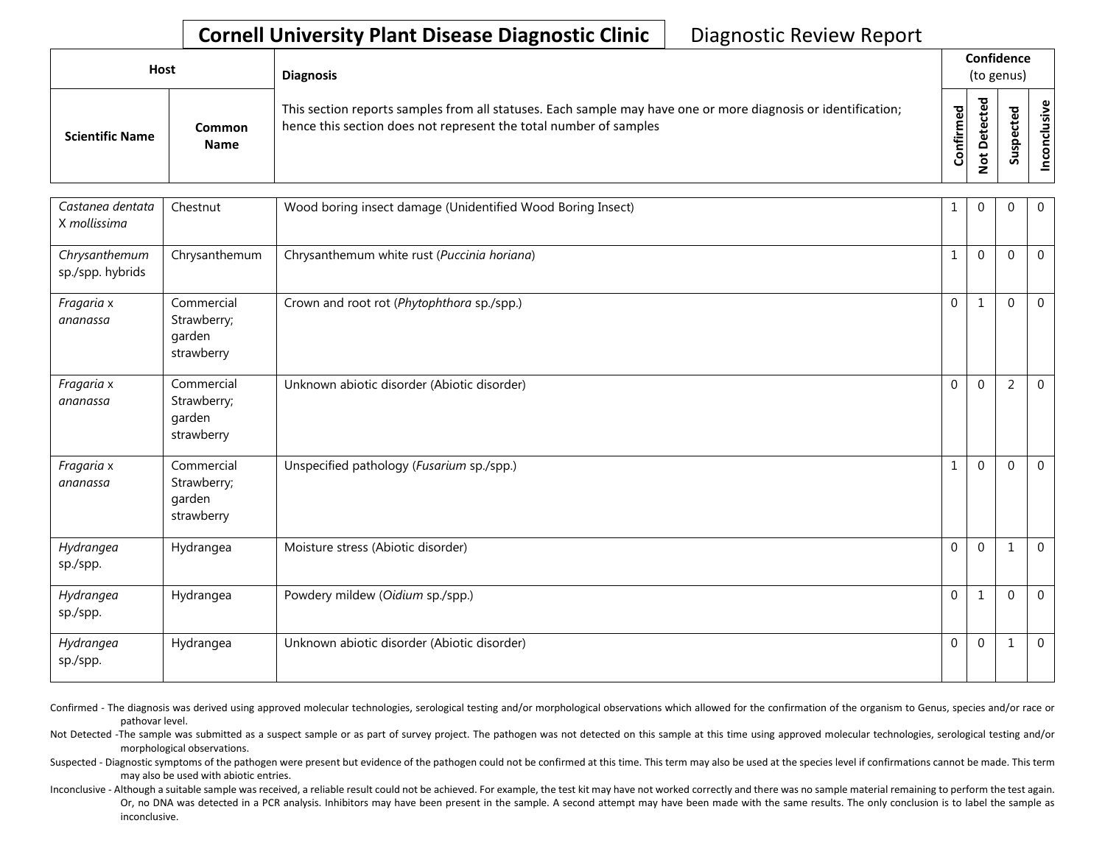| Host |                        |                       | <b>Diagnosis</b>                                                                                                                                                                   | Confidence<br>(to genus) |        |                 |  |
|------|------------------------|-----------------------|------------------------------------------------------------------------------------------------------------------------------------------------------------------------------------|--------------------------|--------|-----------------|--|
|      | <b>Scientific Name</b> | Common<br><b>Name</b> | This section reports samples from all statuses. Each sample may have one or more diagnosis or identification;<br>hence this section does not represent the total number of samples | Confirmed                | ъ<br>Q | ъ<br><u>ഗ</u> ് |  |

| Castanea dentata<br>X mollissima  | Chestnut                                          | Wood boring insect damage (Unidentified Wood Boring Insect) | 1            | $\Omega$     | $\Omega$     | $\overline{0}$ |
|-----------------------------------|---------------------------------------------------|-------------------------------------------------------------|--------------|--------------|--------------|----------------|
| Chrysanthemum<br>sp./spp. hybrids | Chrysanthemum                                     | Chrysanthemum white rust (Puccinia horiana)                 | $\mathbf{1}$ | $\mathbf{0}$ | $\mathbf{0}$ | $\mathbf 0$    |
| Fragaria x<br>ananassa            | Commercial<br>Strawberry;<br>garden<br>strawberry | Crown and root rot (Phytophthora sp./spp.)                  | $\mathbf{0}$ | $\mathbf{1}$ | $\mathbf{0}$ | $\Omega$       |
| Fragaria x<br>ananassa            | Commercial<br>Strawberry;<br>garden<br>strawberry | Unknown abiotic disorder (Abiotic disorder)                 | $\mathbf{0}$ | $\mathbf{0}$ | 2            | $\overline{0}$ |
| Fragaria x<br>ananassa            | Commercial<br>Strawberry;<br>garden<br>strawberry | Unspecified pathology (Fusarium sp./spp.)                   | $\mathbf{1}$ | $\mathbf 0$  | $\Omega$     | $\overline{0}$ |
| Hydrangea<br>sp./spp.             | Hydrangea                                         | Moisture stress (Abiotic disorder)                          | $\mathbf 0$  | $\mathbf 0$  | 1            | $\mathbf 0$    |
| Hydrangea<br>sp./spp.             | Hydrangea                                         | Powdery mildew (Oidium sp./spp.)                            | $\mathbf{0}$ | $\mathbf{1}$ | $\mathbf{0}$ | $\mathbf 0$    |
| Hydrangea<br>sp./spp.             | Hydrangea                                         | Unknown abiotic disorder (Abiotic disorder)                 | $\Omega$     | $\Omega$     | 1            | $\overline{0}$ |

Confirmed - The diagnosis was derived using approved molecular technologies, serological testing and/or morphological observations which allowed for the confirmation of the organism to Genus, species and/or race or pathovar level.

Not Detected -The sample was submitted as a suspect sample or as part of survey project. The pathogen was not detected on this sample at this time using approved molecular technologies, serological testing and/or morphological observations.

Suspected - Diagnostic symptoms of the pathogen were present but evidence of the pathogen could not be confirmed at this time. This term may also be used at the species level if confirmations cannot be made. This term may also be used with abiotic entries.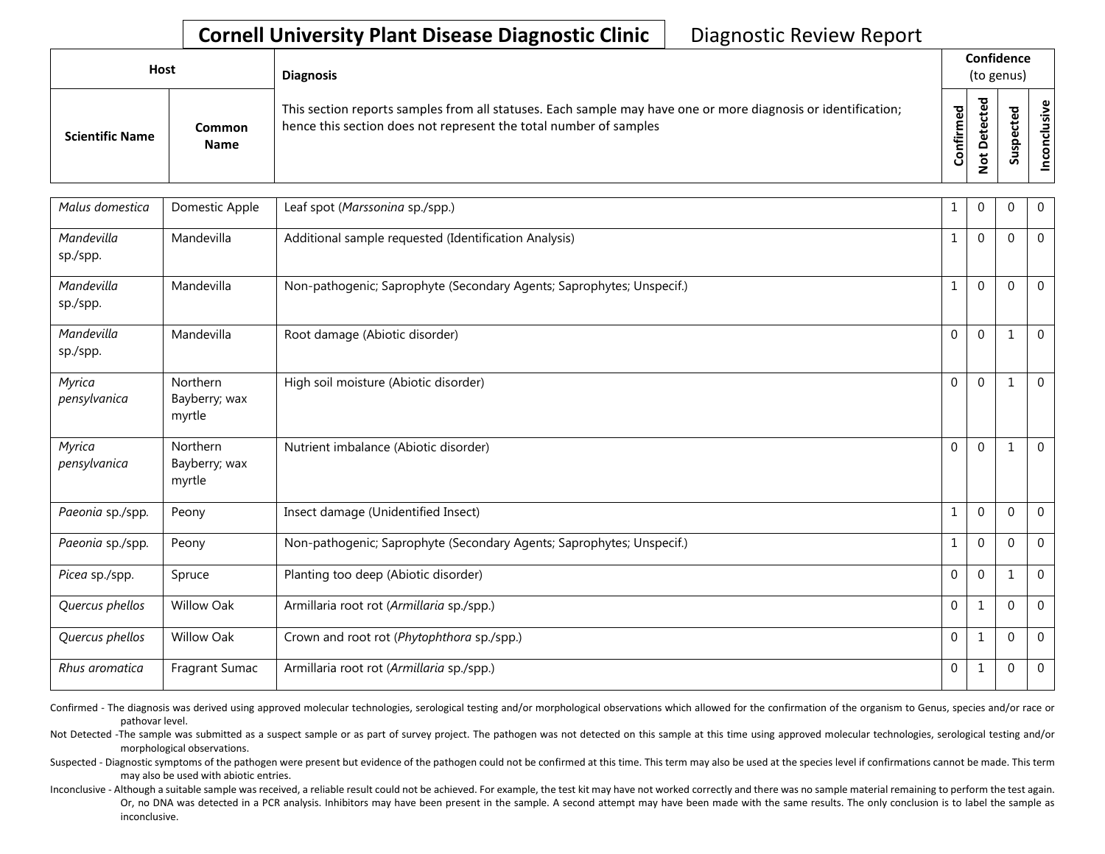| <b>Host</b>            |                       | <b>Diagnosis</b>                                                                                                                                                                   |           | Confidence<br>(to genus) |        |                 |
|------------------------|-----------------------|------------------------------------------------------------------------------------------------------------------------------------------------------------------------------------|-----------|--------------------------|--------|-----------------|
| <b>Scientific Name</b> | Common<br><b>Name</b> | This section reports samples from all statuses. Each sample may have one or more diagnosis or identification;<br>hence this section does not represent the total number of samples | Confirmed | ᇃ<br>⊕<br>Δ<br>پ<br>-    | ᇃ<br>ທ | ω<br>usiv<br>᠊ᠣ |

| Malus domestica        | Domestic Apple                      | Leaf spot (Marssonina sp./spp.)                                       | 1            | $\mathbf{0}$ | $\Omega$     | 0              |
|------------------------|-------------------------------------|-----------------------------------------------------------------------|--------------|--------------|--------------|----------------|
| Mandevilla<br>sp./spp. | Mandevilla                          | Additional sample requested (Identification Analysis)                 | 1            | $\mathbf{0}$ | $\Omega$     | $\mathbf 0$    |
| Mandevilla<br>sp./spp. | Mandevilla                          | Non-pathogenic; Saprophyte (Secondary Agents; Saprophytes; Unspecif.) | 1            | $\mathbf{0}$ | $\Omega$     | 0              |
| Mandevilla<br>sp./spp. | Mandevilla                          | Root damage (Abiotic disorder)                                        | $\mathbf{0}$ | $\mathbf{0}$ |              | $\overline{0}$ |
| Myrica<br>pensylvanica | Northern<br>Bayberry; wax<br>myrtle | High soil moisture (Abiotic disorder)                                 | $\mathbf{0}$ | $\mathbf{0}$ |              | $\mathbf 0$    |
| Myrica<br>pensylvanica | Northern<br>Bayberry; wax<br>myrtle | Nutrient imbalance (Abiotic disorder)                                 | $\mathbf 0$  | $\mathbf{0}$ | 1            | $\mathbf 0$    |
| Paeonia sp./spp.       | Peony                               | Insect damage (Unidentified Insect)                                   | 1            | $\Omega$     | $\Omega$     | $\Omega$       |
| Paeonia sp./spp.       | Peony                               | Non-pathogenic; Saprophyte (Secondary Agents; Saprophytes; Unspecif.) | 1            | $\mathbf{0}$ | $\Omega$     | $\overline{0}$ |
| Picea sp./spp.         | Spruce                              | Planting too deep (Abiotic disorder)                                  | $\mathbf{0}$ | $\mathbf{0}$ | 1            | $\mathbf 0$    |
| Quercus phellos        | <b>Willow Oak</b>                   | Armillaria root rot (Armillaria sp./spp.)                             | $\mathbf{0}$ | 1            | $\Omega$     | $\mathbf 0$    |
| Quercus phellos        | <b>Willow Oak</b>                   | Crown and root rot (Phytophthora sp./spp.)                            | 0            | 1            | $\Omega$     | $\overline{0}$ |
| Rhus aromatica         | Fragrant Sumac                      | Armillaria root rot (Armillaria sp./spp.)                             | $\mathbf{0}$ | $\mathbf{1}$ | $\mathbf{0}$ | $\overline{0}$ |

Confirmed - The diagnosis was derived using approved molecular technologies, serological testing and/or morphological observations which allowed for the confirmation of the organism to Genus, species and/or race or pathovar level.

Not Detected -The sample was submitted as a suspect sample or as part of survey project. The pathogen was not detected on this sample at this time using approved molecular technologies, serological testing and/or morphological observations.

Suspected - Diagnostic symptoms of the pathogen were present but evidence of the pathogen could not be confirmed at this time. This term may also be used at the species level if confirmations cannot be made. This term may also be used with abiotic entries.